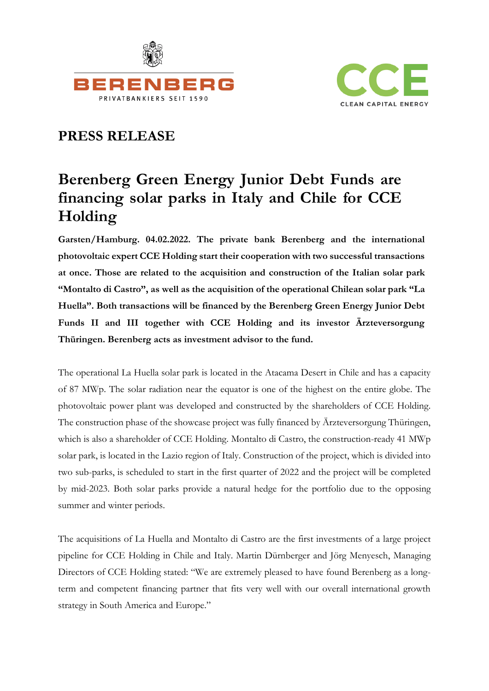



# **PRESS RELEASE**

# **Berenberg Green Energy Junior Debt Funds are financing solar parks in Italy and Chile for CCE Holding**

**Garsten/Hamburg. 04.02.2022. The private bank Berenberg and the international photovoltaic expert CCE Holding start their cooperation with two successful transactions at once. Those are related to the acquisition and construction of the Italian solar park "Montalto di Castro", as well as the acquisition of the operational Chilean solar park "La Huella". Both transactions will be financed by the Berenberg Green Energy Junior Debt Funds II and III together with CCE Holding and its investor Ärzteversorgung Thüringen. Berenberg acts as investment advisor to the fund.**

The operational La Huella solar park is located in the Atacama Desert in Chile and has a capacity of 87 MWp. The solar radiation near the equator is one of the highest on the entire globe. The photovoltaic power plant was developed and constructed by the shareholders of CCE Holding. The construction phase of the showcase project was fully financed by Ärzteversorgung Thüringen, which is also a shareholder of CCE Holding. Montalto di Castro, the construction-ready 41 MWp solar park, is located in the Lazio region of Italy. Construction of the project, which is divided into two sub-parks, is scheduled to start in the first quarter of 2022 and the project will be completed by mid-2023. Both solar parks provide a natural hedge for the portfolio due to the opposing summer and winter periods.

The acquisitions of La Huella and Montalto di Castro are the first investments of a large project pipeline for CCE Holding in Chile and Italy. Martin Dürnberger and Jörg Menyesch, Managing Directors of CCE Holding stated: "We are extremely pleased to have found Berenberg as a longterm and competent financing partner that fits very well with our overall international growth strategy in South America and Europe."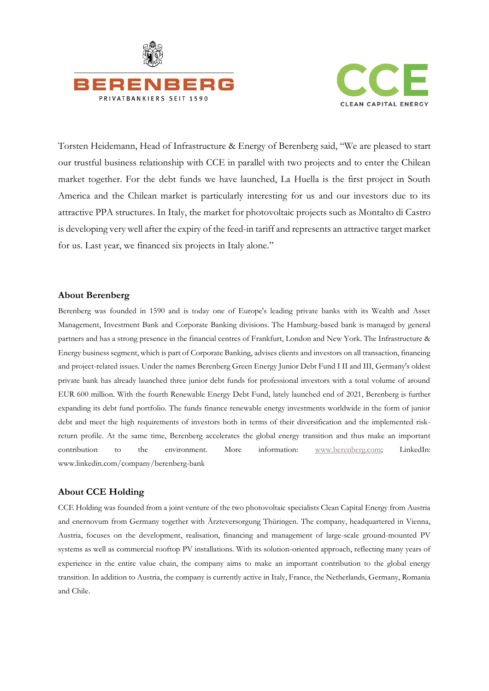



Torsten Heidemann, Head of Infrastructure & Energy of Berenberg said, "We are pleased to start our trustful business relationship with CCE in parallel with two projects and to enter the Chilean market together. For the debt funds we have launched, La Huella is the first project in South America and the Chilean market is particularly interesting for us and our investors due to its attractive PPA structures. In Italy, the market for photovoltaic projects such as Montalto di Castro is developing very well after the expiry of the feed-in tariff and represents an attractive target market for us. Last year, we financed six projects in Italy alone."

#### **About Berenberg**

Berenberg was founded in 1590 and is today one of Europe's leading private banks with its Wealth and Asset Management, Investment Bank and Corporate Banking divisions. The Hamburg-based bank is managed by general partners and has a strong presence in the financial centres of Frankfurt, London and New York. The Infrastructure & Energy business segment, which is part of Corporate Banking, advises clients and investors on all transaction, financing and project-related issues. Under the names Berenberg Green Energy Junior Debt Fund I II and III, Germany's oldest private bank has already launched three junior debt funds for professional investors with a total volume of around EUR 600 million. With the fourth Renewable Energy Debt Fund, lately launched end of 2021, Berenberg is further expanding its debt fund portfolio. The funds finance renewable energy investments worldwide in the form of junior debt and meet the high requirements of investors both in terms of their diversification and the implemented riskreturn profile. At the same time, Berenberg accelerates the global energy transition and thus make an important contribution to the environment. More information: [www.berenberg.com;](http://www.berenberg.com/) LinkedIn: www.linkedin.com/company/berenberg-bank

#### **About CCE Holding**

CCE Holding was founded from a joint venture of the two photovoltaic specialists Clean Capital Energy from Austria and enernovum from Germany together with Ärzteversorgung Thüringen. The company, headquartered in Vienna, Austria, focuses on the development, realisation, financing and management of large-scale ground-mounted PV systems as well as commercial rooftop PV installations. With its solution-oriented approach, reflecting many years of experience in the entire value chain, the company aims to make an important contribution to the global energy transition. In addition to Austria, the company is currently active in Italy, France, the Netherlands, Germany, Romania and Chile.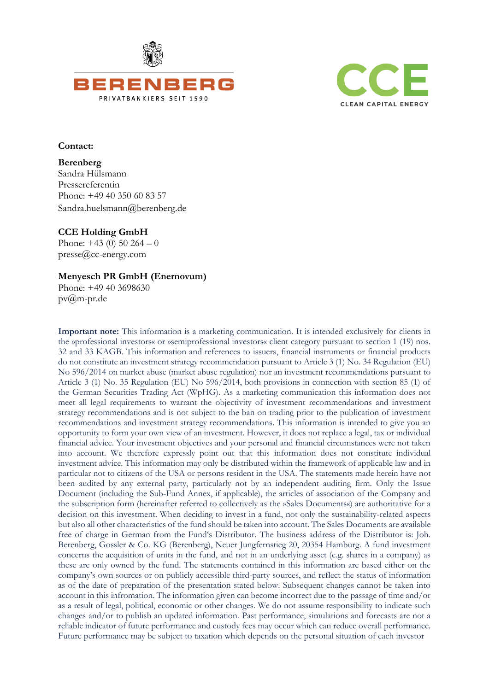



#### **Contact:**

**Berenberg**  Sandra Hülsmann Pressereferentin Phone: +49 40 350 60 83 57 Sandra.huelsmann@berenberg.de

## **CCE Holding GmbH**

Phone:  $+43$  (0)  $50$  264 – 0 presse@cc-energy.com

## **Menyesch PR GmbH (Enernovum)**

Phone: +49 40 3698630 [pv@m-pr.de](mailto:PV@m-pr.de)

**Important note:** This information is a marketing communication. It is intended exclusively for clients in the »professional investors« or »semiprofessional investors« client category pursuant to section 1 (19) nos. 32 and 33 KAGB. This information and references to issuers, financial instruments or financial products do not constitute an investment strategy recommendation pursuant to Article 3 (1) No. 34 Regulation (EU) No 596/2014 on market abuse (market abuse regulation) nor an investment recommendations pursuant to Article 3 (1) No. 35 Regulation (EU) No 596/2014, both provisions in connection with section 85 (1) of the German Securities Trading Act (WpHG). As a marketing communication this information does not meet all legal requirements to warrant the objectivity of investment recommendations and investment strategy recommendations and is not subject to the ban on trading prior to the publication of investment recommendations and investment strategy recommendations. This information is intended to give you an opportunity to form your own view of an investment. However, it does not replace a legal, tax or individual financial advice. Your investment objectives and your personal and financial circumstances were not taken into account. We therefore expressly point out that this information does not constitute individual investment advice. This information may only be distributed within the framework of applicable law and in particular not to citizens of the USA or persons resident in the USA. The statements made herein have not been audited by any external party, particularly not by an independent auditing firm. Only the Issue Document (including the Sub-Fund Annex, if applicable), the articles of association of the Company and the subscription form (hereinafter referred to collectively as the »Sales Documents«) are authoritative for a decision on this investment. When deciding to invest in a fund, not only the sustainability-related aspects but also all other characteristics of the fund should be taken into account. The Sales Documents are available free of charge in German from the Fund's Distributor. The business address of the Distributor is: Joh. Berenberg, Gossler & Co. KG (Berenberg), Neuer Jungfernstieg 20, 20354 Hamburg. A fund investment concerns the acquisition of units in the fund, and not in an underlying asset (e.g. shares in a company) as these are only owned by the fund. The statements contained in this information are based either on the company's own sources or on publicly accessible third-party sources, and reflect the status of information as of the date of preparation of the presentation stated below. Subsequent changes cannot be taken into account in this infromation. The information given can become incorrect due to the passage of time and/or as a result of legal, political, economic or other changes. We do not assume responsibility to indicate such changes and/or to publish an updated information. Past performance, simulations and forecasts are not a reliable indicator of future performance and custody fees may occur which can reduce overall performance. Future performance may be subject to taxation which depends on the personal situation of each investor